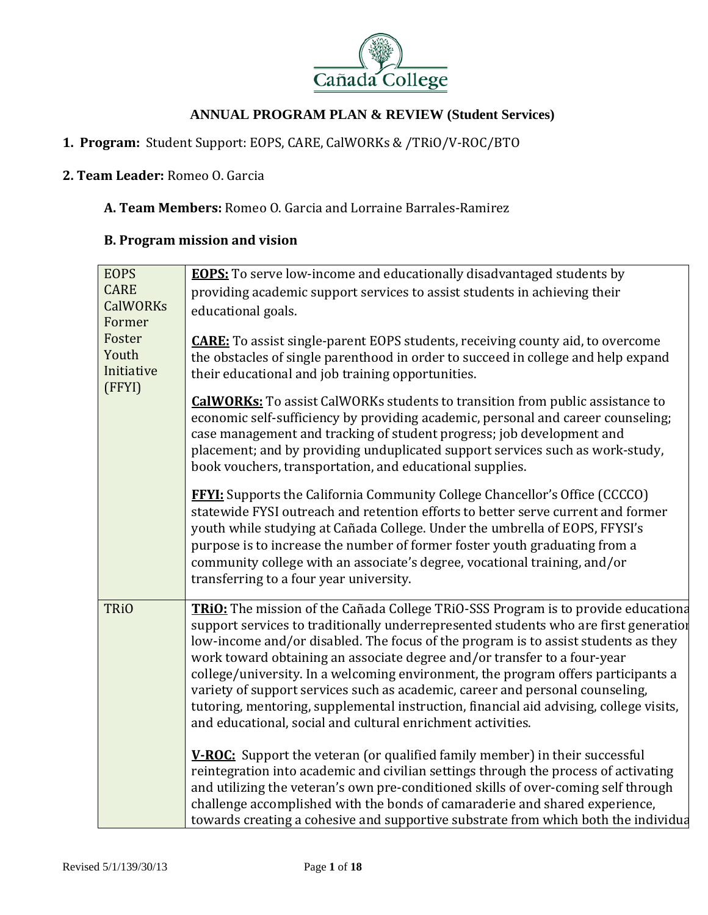

## 1. Program: Student Support: EOPS, CARE, CalWORKs & /TRiO/V-ROC/BTO

#### **2. Team Leader:** Romeo O. Garcia

#### A. Team Members: Romeo O. Garcia and Lorraine Barrales-Ramirez

## **B. Program mission and vision**

| <b>EOPS</b><br><b>CARE</b><br><b>CalWORKs</b><br>Former<br>Foster | <b>EOPS:</b> To serve low-income and educationally disadvantaged students by<br>providing academic support services to assist students in achieving their<br>educational goals.                                                                                                                                                                                                                                                                                                                                                                                                                                                                                            |
|-------------------------------------------------------------------|----------------------------------------------------------------------------------------------------------------------------------------------------------------------------------------------------------------------------------------------------------------------------------------------------------------------------------------------------------------------------------------------------------------------------------------------------------------------------------------------------------------------------------------------------------------------------------------------------------------------------------------------------------------------------|
| Youth<br>Initiative<br>(FFYI)                                     | <b>CARE:</b> To assist single-parent EOPS students, receiving county aid, to overcome<br>the obstacles of single parenthood in order to succeed in college and help expand<br>their educational and job training opportunities.                                                                                                                                                                                                                                                                                                                                                                                                                                            |
|                                                                   | <b>CalWORKs:</b> To assist CalWORKs students to transition from public assistance to<br>economic self-sufficiency by providing academic, personal and career counseling;<br>case management and tracking of student progress; job development and<br>placement; and by providing unduplicated support services such as work-study,<br>book vouchers, transportation, and educational supplies.                                                                                                                                                                                                                                                                             |
|                                                                   | <b>FFYI:</b> Supports the California Community College Chancellor's Office (CCCCO)<br>statewide FYSI outreach and retention efforts to better serve current and former<br>youth while studying at Cañada College. Under the umbrella of EOPS, FFYSI's<br>purpose is to increase the number of former foster youth graduating from a<br>community college with an associate's degree, vocational training, and/or<br>transferring to a four year university.                                                                                                                                                                                                                |
| <b>TRiO</b>                                                       | TRiO: The mission of the Cañada College TRiO-SSS Program is to provide educationa<br>support services to traditionally underrepresented students who are first generation<br>low-income and/or disabled. The focus of the program is to assist students as they<br>work toward obtaining an associate degree and/or transfer to a four-year<br>college/university. In a welcoming environment, the program offers participants a<br>variety of support services such as academic, career and personal counseling,<br>tutoring, mentoring, supplemental instruction, financial aid advising, college visits,<br>and educational, social and cultural enrichment activities. |
|                                                                   | <b>V-ROC:</b> Support the veteran (or qualified family member) in their successful<br>reintegration into academic and civilian settings through the process of activating<br>and utilizing the veteran's own pre-conditioned skills of over-coming self through<br>challenge accomplished with the bonds of camaraderie and shared experience,<br>towards creating a cohesive and supportive substrate from which both the individua                                                                                                                                                                                                                                       |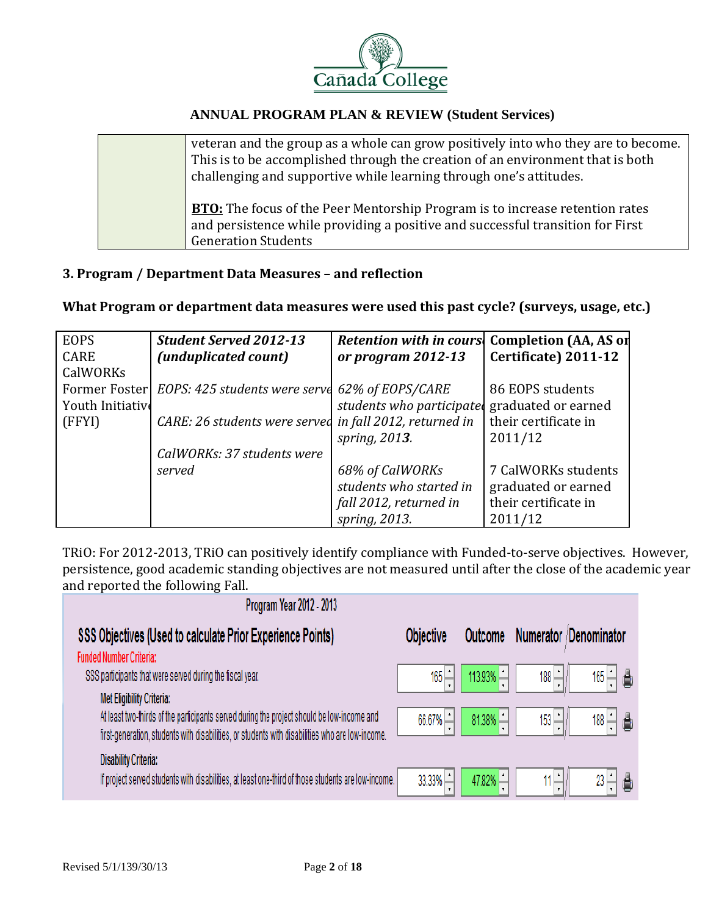

| veteran and the group as a whole can grow positively into who they are to become.<br>This is to be accomplished through the creation of an environment that is both<br>challenging and supportive while learning through one's attitudes. |
|-------------------------------------------------------------------------------------------------------------------------------------------------------------------------------------------------------------------------------------------|
| <b>BTO:</b> The focus of the Peer Mentorship Program is to increase retention rates<br>and persistence while providing a positive and successful transition for First<br><b>Generation Students</b>                                       |

## **3. Program / Department Data Measures – and reflection**

## **What Program or department data measures were used this past cycle? (surveys, usage, etc.)**

| <b>EOPS</b>      | <b>Student Served 2012-13</b> | <b>Retention with in cours</b> | <b>Completion (AA, AS or</b> |
|------------------|-------------------------------|--------------------------------|------------------------------|
| <b>CARE</b>      | (unduplicated count)          | or program 2012-13             | Certificate) 2011-12         |
| CalWORKs         |                               |                                |                              |
| Former Foster    | EOPS: 425 students were serve | 62% of EOPS/CARE               | 86 EOPS students             |
| Youth Initiative |                               | students who participate       | graduated or earned          |
| (FFYI)           | CARE: 26 students were served | in fall 2012, returned in      | their certificate in         |
|                  |                               | spring, 2013.                  | 2011/12                      |
|                  | CalWORKs: 37 students were    |                                |                              |
|                  | served                        | 68% of CalWORKs                | 7 CalWORKs students          |
|                  |                               | students who started in        | graduated or earned          |
|                  |                               | fall 2012, returned in         | their certificate in         |
|                  |                               | spring, 2013.                  | 2011/12                      |

TRiO: For 2012-2013, TRiO can positively identify compliance with Funded-to-serve objectives. However, persistence, good academic standing objectives are not measured until after the close of the academic year and reported the following Fall.

| Program Year 2012 - 2013                                                                                                                                                                                                          |                  |           |                       |
|-----------------------------------------------------------------------------------------------------------------------------------------------------------------------------------------------------------------------------------|------------------|-----------|-----------------------|
| SSS Objectives (Used to calculate Prior Experience Points)                                                                                                                                                                        | <b>Objective</b> | Outcome   | Numerator Denominator |
| <b>Funded Number Criteria:</b>                                                                                                                                                                                                    |                  |           |                       |
| SSS participants that were served during the fiscal year.                                                                                                                                                                         | 165              | 113.93%   | 165 - 1 품<br>188      |
| <b>Met Eligibility Criteria:</b><br>At least two-thirds of the participants served during the project should be low-income and<br>first-generation, students with disabilities, or students with disabilities who are low-income. | $66.67\%$        | $81.38\%$ | 153<br>188 ㅡ  ᆸ       |
| <b>Disability Criteria:</b><br>If project served students with disabilities, at least one-third of those students are low-income.                                                                                                 | 33.33%           | $47.82\%$ | $\sim$                |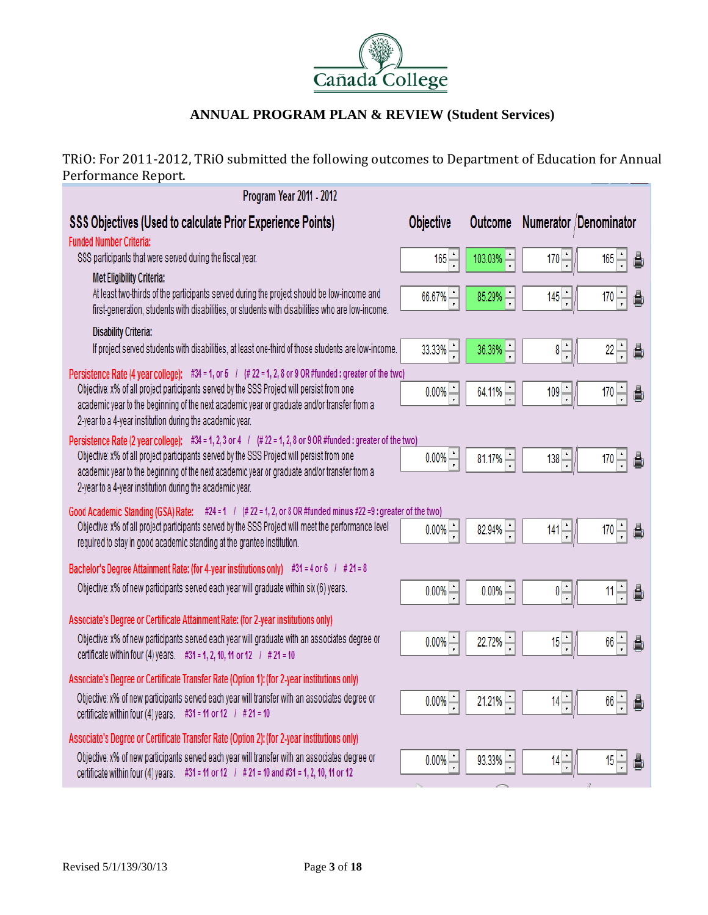

TRiO: For 2011-2012, TRiO submitted the following outcomes to Department of Education for Annual Performance Report.

| Program Year 2011 - 2012                                                                                                                                                                      |                  |                |                            |                        |
|-----------------------------------------------------------------------------------------------------------------------------------------------------------------------------------------------|------------------|----------------|----------------------------|------------------------|
| <b>SSS Objectives (Used to calculate Prior Experience Points)</b>                                                                                                                             | <b>Objective</b> | <b>Outcome</b> |                            | Numerator /Denominator |
| <b>Funded Number Criteria:</b><br>SSS participants that were served during the fiscal year.                                                                                                   |                  | 103.03%        | 170                        | $165 -$                |
| <b>Met Eligibility Criteria:</b>                                                                                                                                                              | $165 -$          |                |                            | 賁                      |
| At least two-thirds of the participants served during the project should be low-income and<br>first-generation, students with disabilities, or students with disabilities who are low-income. | 66.67%           | 85.29%         | 145                        | $170 -$<br>₿           |
| <b>Disability Criteria:</b>                                                                                                                                                                   |                  |                |                            |                        |
| If project served students with disabilities, at least one-third of those students are low-income.                                                                                            | 33.33%           | $36.36\%$      | $\frac{1}{\epsilon}$<br>8  | $22 -$<br>å            |
| Persistence Rate (4 year college): #34 = 1, or 5 $/$ (# 22 = 1, 2, 8 or 9 OR #funded : greater of the two)                                                                                    |                  |                |                            |                        |
| Objective: x% of all project participants served by the SSS Project will persist from one<br>academic year to the beginning of the next academic year or graduate and/or transfer from a      | 0.00%            | 64.11%         | 109                        | $170 -$<br>賁           |
| 2-year to a 4-year institution during the academic year.                                                                                                                                      |                  |                |                            |                        |
| Persistence Rate (2 year college): #34 = 1, 2, 3 or 4 / (# 22 = 1, 2, 8 or 9 OR #funded : greater of the two)                                                                                 |                  |                |                            |                        |
| Objective: x% of all project participants served by the SSS Project will persist from one<br>academic year to the beginning of the next academic year or graduate and/or transfer from a      | 0.00%            | $81.17\%$      | 138                        | $170 -$<br>蒷           |
| 2-year to a 4-year institution during the academic year.                                                                                                                                      |                  |                |                            |                        |
| Good Academic Standing (GSA) Rate: #24 = 1 / $($ # 22 = 1, 2, or 8 OR #funded minus #22 =9 : greater of the two)                                                                              |                  |                |                            |                        |
| Objective: x% of all project participants served by the SSS Project will meet the performance level                                                                                           | 0.00%            | 82.94%         | 141                        | $170 -$<br>賁           |
| required to stay in good academic standing at the grantee institution.                                                                                                                        |                  |                |                            |                        |
| Bachelor's Degree Attainment Rate: (for 4-year institutions only) #31 = 4 or 6 $/$ # 21 = 8                                                                                                   |                  |                |                            |                        |
| Objective: x% of new participants served each year will graduate within six (6) years.                                                                                                        | 0.00%            | 0.00%          | $\frac{1}{\cdot}$          | $11 -$<br>蒷            |
| Associate's Degree or Certificate Attainment Rate: (for 2-year institutions only)                                                                                                             |                  |                |                            |                        |
| Objective: x% of new participants served each year will graduate with an associates degree or                                                                                                 | 0.00%            | 22.72%         | $\frac{1}{x}$<br>15        | $66 -$<br>賁            |
| certificate within four (4) years. #31 = 1, 2, 10, 11 or 12 $/$ # 21 = 10                                                                                                                     |                  |                |                            |                        |
| Associate's Degree or Certificate Transfer Rate (Option 1): (for 2-year institutions only)                                                                                                    |                  |                |                            |                        |
| Objective: x% of new participants served each year will transfer with an associates degree or<br>certificate within four (4) years. #31 = 11 or 12 $/$ # 21 = 10                              | 0.00%            | 21.21%         | $\frac{1}{\sqrt{2}}$<br>14 | $66 -$<br>å            |
| Associate's Degree or Certificate Transfer Rate (Option 2): (for 2-year institutions only)                                                                                                    |                  |                |                            |                        |
| Objective: x% of new participants served each year will transfer with an associates degree or                                                                                                 | 0.00%            | 93.33%         | $\frac{1}{\epsilon}$<br>14 | 15<br>Ô                |
| certificate within four (4) years. #31 = 11 or 12 $/$ # 21 = 10 and #31 = 1, 2, 10, 11 or 12                                                                                                  |                  |                |                            |                        |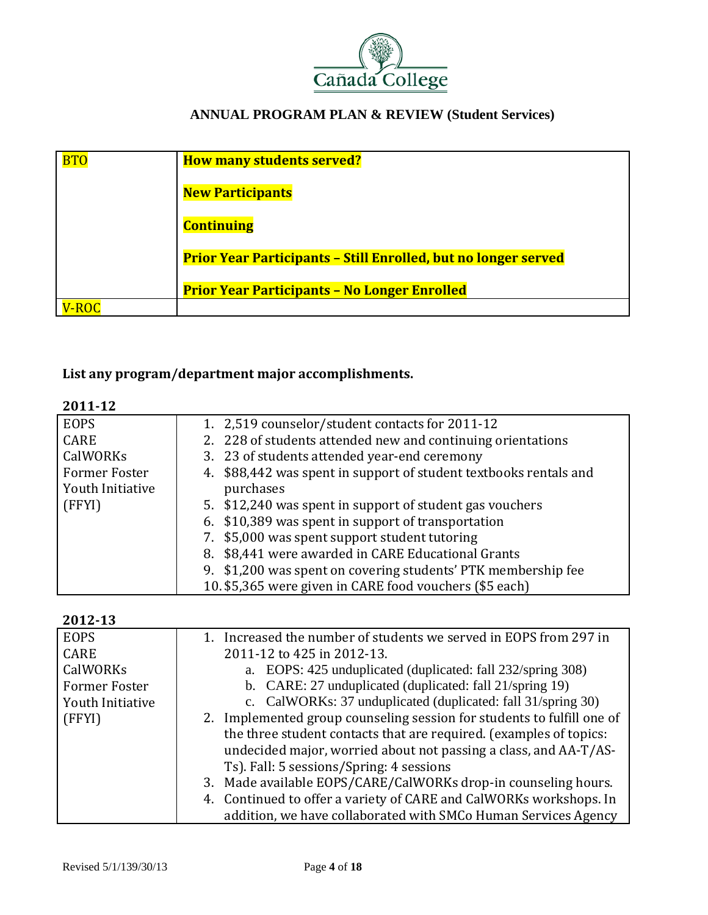

| <b>BTC</b> | <b>How many students served?</b>                                      |
|------------|-----------------------------------------------------------------------|
|            | <b>New Participants</b>                                               |
|            | <b>Continuing</b>                                                     |
|            | <b>Prior Year Participants - Still Enrolled, but no longer served</b> |
|            | <b>Prior Year Participants - No Longer Enrolled</b>                   |
|            |                                                                       |

## **List any program/department major accomplishments.**

| 011<br>'<br>۰ سه |  |
|------------------|--|
|------------------|--|

| <b>EOPS</b>      | 1. 2,519 counselor/student contacts for 2011-12                   |
|------------------|-------------------------------------------------------------------|
| <b>CARE</b>      | 2. 228 of students attended new and continuing orientations       |
| CalWORKs         | 3. 23 of students attended year-end ceremony                      |
| Former Foster    | 4. \$88,442 was spent in support of student textbooks rentals and |
| Youth Initiative | purchases                                                         |
| (FFYI)           | 5. \$12,240 was spent in support of student gas vouchers          |
|                  | 6. \$10,389 was spent in support of transportation                |
|                  | 7. \$5,000 was spent support student tutoring                     |
|                  | 8. \$8,441 were awarded in CARE Educational Grants                |
|                  | 9. \$1,200 was spent on covering students' PTK membership fee     |
|                  | 10. \$5,365 were given in CARE food vouchers (\$5 each)           |

#### **2012‐13**

| <b>EOPS</b>      | 1. Increased the number of students we served in EOPS from 297 in      |
|------------------|------------------------------------------------------------------------|
| <b>CARE</b>      | 2011-12 to 425 in 2012-13.                                             |
| CalWORKs         | a. EOPS: 425 unduplicated (duplicated: fall 232/spring 308)            |
| Former Foster    | b. CARE: 27 unduplicated (duplicated: fall 21/spring 19)               |
| Youth Initiative | c. CalWORKs: 37 unduplicated (duplicated: fall 31/spring 30)           |
| (FFYI)           | 2. Implemented group counseling session for students to fulfill one of |
|                  | the three student contacts that are required. (examples of topics:     |
|                  | undecided major, worried about not passing a class, and AA-T/AS-       |
|                  | Ts). Fall: 5 sessions/Spring: 4 sessions                               |
|                  | 3. Made available EOPS/CARE/CalWORKs drop-in counseling hours.         |
|                  | 4. Continued to offer a variety of CARE and CalWORKs workshops. In     |
|                  | addition, we have collaborated with SMCo Human Services Agency         |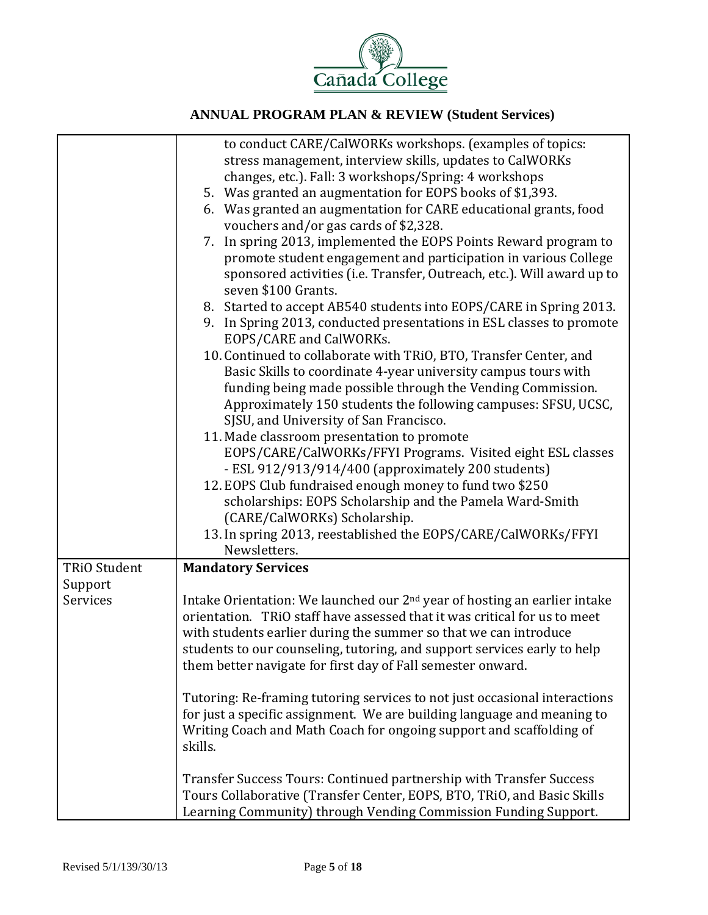

|                     | to conduct CARE/CalWORKs workshops. (examples of topics:<br>stress management, interview skills, updates to CalWORKs<br>changes, etc.). Fall: 3 workshops/Spring: 4 workshops<br>5. Was granted an augmentation for EOPS books of \$1,393.<br>6. Was granted an augmentation for CARE educational grants, food<br>vouchers and/or gas cards of \$2,328.<br>7. In spring 2013, implemented the EOPS Points Reward program to<br>promote student engagement and participation in various College<br>sponsored activities (i.e. Transfer, Outreach, etc.). Will award up to<br>seven \$100 Grants.<br>8. Started to accept AB540 students into EOPS/CARE in Spring 2013.<br>9. In Spring 2013, conducted presentations in ESL classes to promote<br>EOPS/CARE and CalWORKs.<br>10. Continued to collaborate with TRiO, BTO, Transfer Center, and<br>Basic Skills to coordinate 4-year university campus tours with<br>funding being made possible through the Vending Commission.<br>Approximately 150 students the following campuses: SFSU, UCSC,<br>SJSU, and University of San Francisco.<br>11. Made classroom presentation to promote<br>EOPS/CARE/CalWORKs/FFYI Programs. Visited eight ESL classes<br>- ESL 912/913/914/400 (approximately 200 students)<br>12. EOPS Club fundraised enough money to fund two \$250<br>scholarships: EOPS Scholarship and the Pamela Ward-Smith<br>(CARE/CalWORKs) Scholarship. |
|---------------------|----------------------------------------------------------------------------------------------------------------------------------------------------------------------------------------------------------------------------------------------------------------------------------------------------------------------------------------------------------------------------------------------------------------------------------------------------------------------------------------------------------------------------------------------------------------------------------------------------------------------------------------------------------------------------------------------------------------------------------------------------------------------------------------------------------------------------------------------------------------------------------------------------------------------------------------------------------------------------------------------------------------------------------------------------------------------------------------------------------------------------------------------------------------------------------------------------------------------------------------------------------------------------------------------------------------------------------------------------------------------------------------------------------------------|
|                     | 13. In spring 2013, reestablished the EOPS/CARE/CalWORKs/FFYI<br>Newsletters.                                                                                                                                                                                                                                                                                                                                                                                                                                                                                                                                                                                                                                                                                                                                                                                                                                                                                                                                                                                                                                                                                                                                                                                                                                                                                                                                        |
| <b>TRiO Student</b> | <b>Mandatory Services</b>                                                                                                                                                                                                                                                                                                                                                                                                                                                                                                                                                                                                                                                                                                                                                                                                                                                                                                                                                                                                                                                                                                                                                                                                                                                                                                                                                                                            |
| Support             |                                                                                                                                                                                                                                                                                                                                                                                                                                                                                                                                                                                                                                                                                                                                                                                                                                                                                                                                                                                                                                                                                                                                                                                                                                                                                                                                                                                                                      |
| Services            | Intake Orientation: We launched our 2 <sup>nd</sup> year of hosting an earlier intake<br>orientation. TRiO staff have assessed that it was critical for us to meet<br>with students earlier during the summer so that we can introduce<br>students to our counseling, tutoring, and support services early to help<br>them better navigate for first day of Fall semester onward.                                                                                                                                                                                                                                                                                                                                                                                                                                                                                                                                                                                                                                                                                                                                                                                                                                                                                                                                                                                                                                    |
|                     | Tutoring: Re-framing tutoring services to not just occasional interactions<br>for just a specific assignment. We are building language and meaning to<br>Writing Coach and Math Coach for ongoing support and scaffolding of<br>skills.                                                                                                                                                                                                                                                                                                                                                                                                                                                                                                                                                                                                                                                                                                                                                                                                                                                                                                                                                                                                                                                                                                                                                                              |
|                     | Transfer Success Tours: Continued partnership with Transfer Success<br>Tours Collaborative (Transfer Center, EOPS, BTO, TRiO, and Basic Skills<br>Learning Community) through Vending Commission Funding Support.                                                                                                                                                                                                                                                                                                                                                                                                                                                                                                                                                                                                                                                                                                                                                                                                                                                                                                                                                                                                                                                                                                                                                                                                    |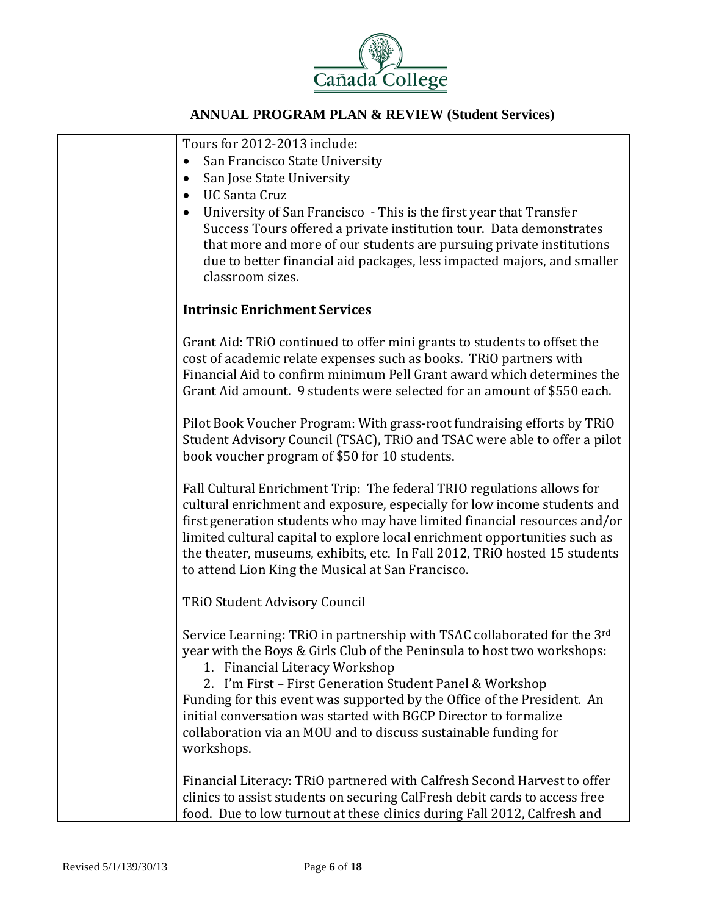

| Tours for 2012-2013 include:                                                                                                                        |
|-----------------------------------------------------------------------------------------------------------------------------------------------------|
| San Francisco State University<br>$\bullet$                                                                                                         |
| San Jose State University                                                                                                                           |
| <b>UC Santa Cruz</b>                                                                                                                                |
| University of San Francisco - This is the first year that Transfer                                                                                  |
| Success Tours offered a private institution tour. Data demonstrates<br>that more and more of our students are pursuing private institutions         |
| due to better financial aid packages, less impacted majors, and smaller                                                                             |
| classroom sizes.                                                                                                                                    |
|                                                                                                                                                     |
| <b>Intrinsic Enrichment Services</b>                                                                                                                |
| Grant Aid: TRiO continued to offer mini grants to students to offset the                                                                            |
| cost of academic relate expenses such as books. TRiO partners with                                                                                  |
| Financial Aid to confirm minimum Pell Grant award which determines the                                                                              |
| Grant Aid amount. 9 students were selected for an amount of \$550 each.                                                                             |
|                                                                                                                                                     |
| Pilot Book Voucher Program: With grass-root fundraising efforts by TRiO                                                                             |
| Student Advisory Council (TSAC), TRiO and TSAC were able to offer a pilot<br>book voucher program of \$50 for 10 students.                          |
|                                                                                                                                                     |
| Fall Cultural Enrichment Trip: The federal TRIO regulations allows for                                                                              |
| cultural enrichment and exposure, especially for low income students and                                                                            |
| first generation students who may have limited financial resources and/or                                                                           |
| limited cultural capital to explore local enrichment opportunities such as                                                                          |
| the theater, museums, exhibits, etc. In Fall 2012, TRiO hosted 15 students                                                                          |
| to attend Lion King the Musical at San Francisco.                                                                                                   |
| <b>TRiO Student Advisory Council</b>                                                                                                                |
|                                                                                                                                                     |
| Service Learning: TRiO in partnership with TSAC collaborated for the 3rd<br>year with the Boys & Girls Club of the Peninsula to host two workshops: |
| 1. Financial Literacy Workshop                                                                                                                      |
| 2. I'm First - First Generation Student Panel & Workshop                                                                                            |
| Funding for this event was supported by the Office of the President. An                                                                             |
| initial conversation was started with BGCP Director to formalize                                                                                    |
| collaboration via an MOU and to discuss sustainable funding for                                                                                     |
| workshops.                                                                                                                                          |
| Financial Literacy: TRiO partnered with Calfresh Second Harvest to offer                                                                            |
| clinics to assist students on securing CalFresh debit cards to access free                                                                          |
| food. Due to low turnout at these clinics during Fall 2012, Calfresh and                                                                            |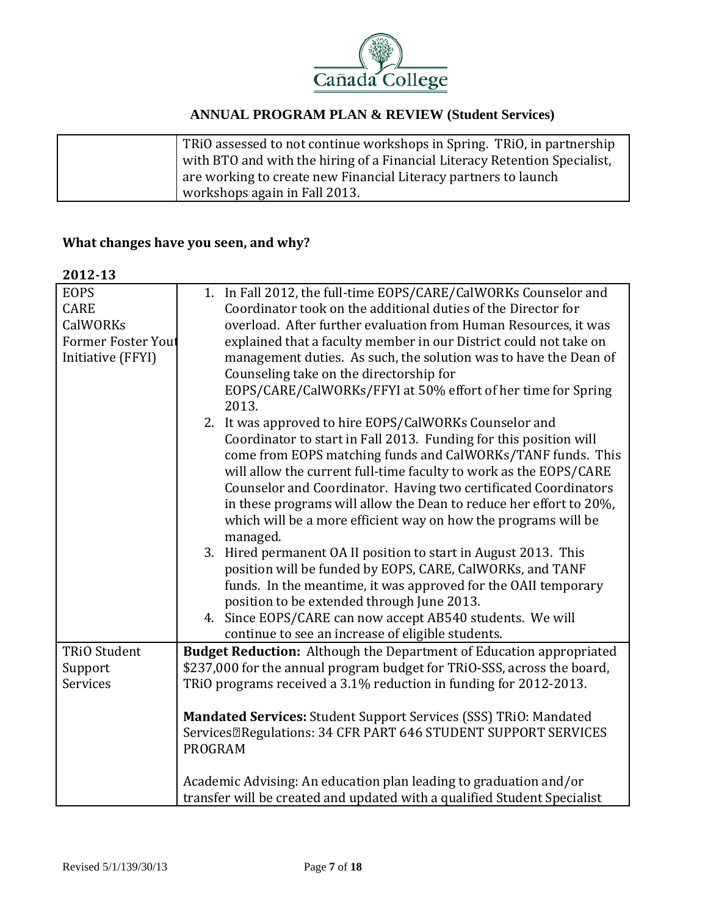

| TRIO assessed to not continue workshops in Spring. TRIO, in partnership    |
|----------------------------------------------------------------------------|
| with BTO and with the hiring of a Financial Literacy Retention Specialist, |
| are working to create new Financial Literacy partners to launch            |
| workshops again in Fall 2013.                                              |

## **What changes have you seen, and why?**

#### **2012‐13**

| <b>EOPS</b>                | 1. In Fall 2012, the full-time EOPS/CARE/CalWORKs Counselor and               |  |  |
|----------------------------|-------------------------------------------------------------------------------|--|--|
| <b>CARE</b>                | Coordinator took on the additional duties of the Director for                 |  |  |
| CalWORKs                   | overload. After further evaluation from Human Resources, it was               |  |  |
| <b>Former Foster Yout</b>  | explained that a faculty member in our District could not take on             |  |  |
| Initiative (FFYI)          | management duties. As such, the solution was to have the Dean of              |  |  |
|                            | Counseling take on the directorship for                                       |  |  |
|                            | EOPS/CARE/CalWORKs/FFYI at 50% effort of her time for Spring                  |  |  |
|                            | 2013.                                                                         |  |  |
|                            | 2. It was approved to hire EOPS/CalWORKs Counselor and                        |  |  |
|                            | Coordinator to start in Fall 2013. Funding for this position will             |  |  |
|                            | come from EOPS matching funds and CalWORKs/TANF funds. This                   |  |  |
|                            | will allow the current full-time faculty to work as the EOPS/CARE             |  |  |
|                            | Counselor and Coordinator. Having two certificated Coordinators               |  |  |
|                            | in these programs will allow the Dean to reduce her effort to 20%,            |  |  |
|                            | which will be a more efficient way on how the programs will be                |  |  |
|                            | managed.                                                                      |  |  |
|                            | 3. Hired permanent OA II position to start in August 2013. This               |  |  |
|                            | position will be funded by EOPS, CARE, CalWORKs, and TANF                     |  |  |
|                            | funds. In the meantime, it was approved for the OAII temporary                |  |  |
|                            | position to be extended through June 2013.                                    |  |  |
|                            | 4. Since EOPS/CARE can now accept AB540 students. We will                     |  |  |
|                            | continue to see an increase of eligible students.                             |  |  |
| <b>TRiO Student</b>        | <b>Budget Reduction:</b> Although the Department of Education appropriated    |  |  |
| Support<br><b>Services</b> | \$237,000 for the annual program budget for TRiO-SSS, across the board,       |  |  |
|                            | TRiO programs received a 3.1% reduction in funding for 2012-2013.             |  |  |
|                            | Mandated Services: Student Support Services (SSS) TRiO: Mandated              |  |  |
|                            | Services <sup>[2]</sup> Regulations: 34 CFR PART 646 STUDENT SUPPORT SERVICES |  |  |
|                            | <b>PROGRAM</b>                                                                |  |  |
|                            |                                                                               |  |  |
|                            | Academic Advising: An education plan leading to graduation and/or             |  |  |
|                            | transfer will be created and updated with a qualified Student Specialist      |  |  |
|                            |                                                                               |  |  |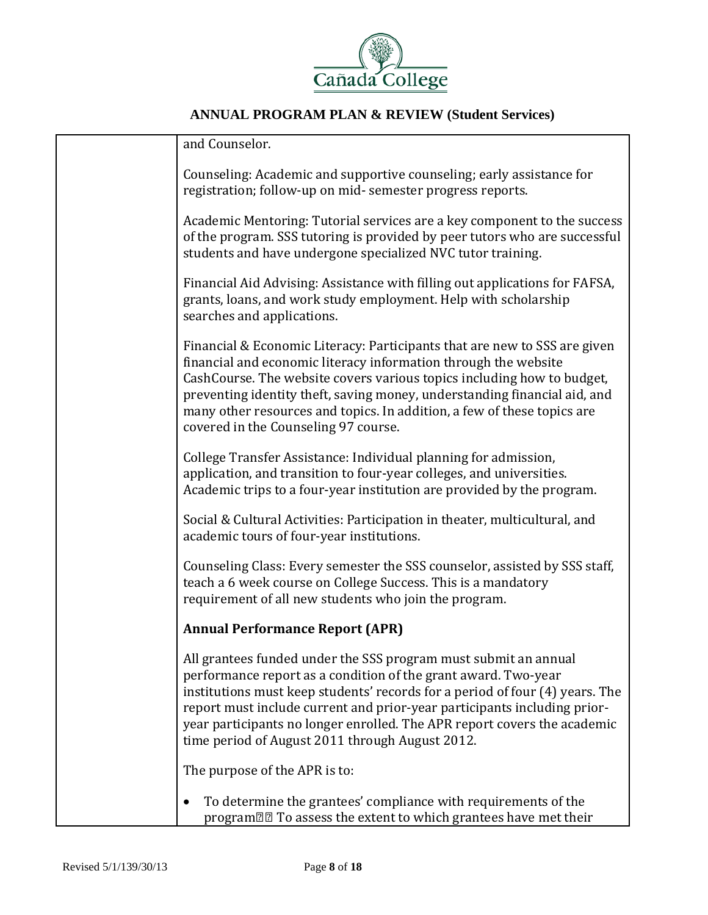

| and Counselor.                                                                                                                                                                                                                                                                                                                                                                                                               |
|------------------------------------------------------------------------------------------------------------------------------------------------------------------------------------------------------------------------------------------------------------------------------------------------------------------------------------------------------------------------------------------------------------------------------|
| Counseling: Academic and supportive counseling; early assistance for<br>registration; follow-up on mid- semester progress reports.                                                                                                                                                                                                                                                                                           |
| Academic Mentoring: Tutorial services are a key component to the success<br>of the program. SSS tutoring is provided by peer tutors who are successful<br>students and have undergone specialized NVC tutor training.                                                                                                                                                                                                        |
| Financial Aid Advising: Assistance with filling out applications for FAFSA,<br>grants, loans, and work study employment. Help with scholarship<br>searches and applications.                                                                                                                                                                                                                                                 |
| Financial & Economic Literacy: Participants that are new to SSS are given<br>financial and economic literacy information through the website<br>CashCourse. The website covers various topics including how to budget,<br>preventing identity theft, saving money, understanding financial aid, and<br>many other resources and topics. In addition, a few of these topics are<br>covered in the Counseling 97 course.       |
| College Transfer Assistance: Individual planning for admission,<br>application, and transition to four-year colleges, and universities.<br>Academic trips to a four-year institution are provided by the program.                                                                                                                                                                                                            |
| Social & Cultural Activities: Participation in theater, multicultural, and<br>academic tours of four-year institutions.                                                                                                                                                                                                                                                                                                      |
| Counseling Class: Every semester the SSS counselor, assisted by SSS staff,<br>teach a 6 week course on College Success. This is a mandatory<br>requirement of all new students who join the program.                                                                                                                                                                                                                         |
| <b>Annual Performance Report (APR)</b>                                                                                                                                                                                                                                                                                                                                                                                       |
| All grantees funded under the SSS program must submit an annual<br>performance report as a condition of the grant award. Two-year<br>institutions must keep students' records for a period of four (4) years. The<br>report must include current and prior-year participants including prior-<br>year participants no longer enrolled. The APR report covers the academic<br>time period of August 2011 through August 2012. |
| The purpose of the APR is to:                                                                                                                                                                                                                                                                                                                                                                                                |
| To determine the grantees' compliance with requirements of the<br>program <sup>[2]</sup> To assess the extent to which grantees have met their                                                                                                                                                                                                                                                                               |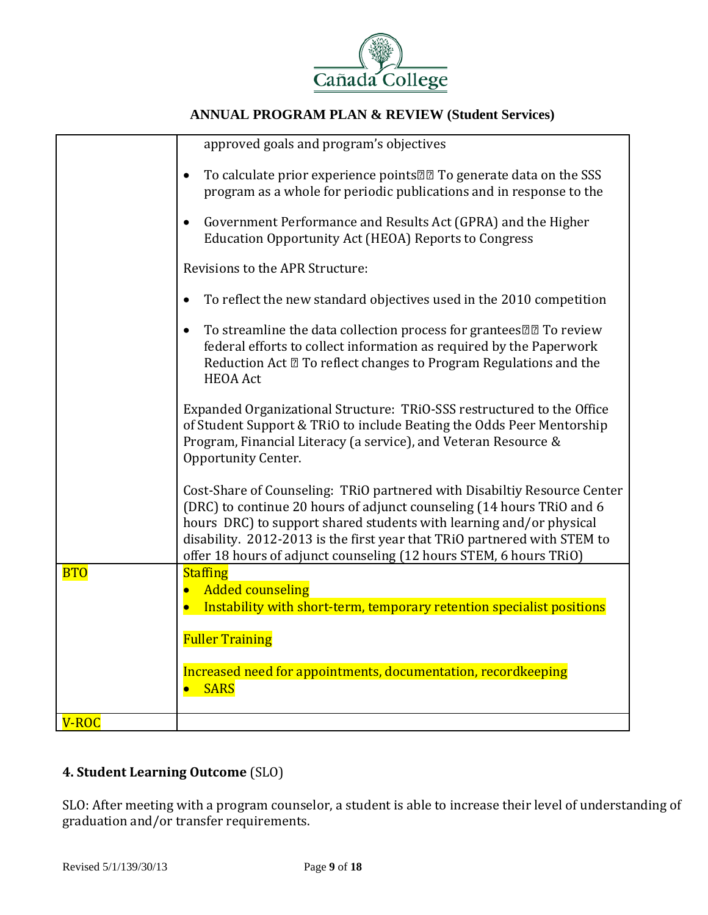

|            | approved goals and program's objectives                                                                                                                                                                                                                                                                                                                                    |
|------------|----------------------------------------------------------------------------------------------------------------------------------------------------------------------------------------------------------------------------------------------------------------------------------------------------------------------------------------------------------------------------|
|            | To calculate prior experience points <sup>[2]</sup> To generate data on the SSS<br>$\bullet$<br>program as a whole for periodic publications and in response to the                                                                                                                                                                                                        |
|            | Government Performance and Results Act (GPRA) and the Higher<br>$\bullet$<br><b>Education Opportunity Act (HEOA) Reports to Congress</b>                                                                                                                                                                                                                                   |
|            | Revisions to the APR Structure:                                                                                                                                                                                                                                                                                                                                            |
|            | To reflect the new standard objectives used in the 2010 competition                                                                                                                                                                                                                                                                                                        |
|            | To streamline the data collection process for grantees 22 To review<br>$\bullet$<br>federal efforts to collect information as required by the Paperwork<br>Reduction Act 2 To reflect changes to Program Regulations and the<br><b>HEOA</b> Act                                                                                                                            |
|            | Expanded Organizational Structure: TRiO-SSS restructured to the Office<br>of Student Support & TRiO to include Beating the Odds Peer Mentorship<br>Program, Financial Literacy (a service), and Veteran Resource &<br>Opportunity Center.                                                                                                                                  |
|            | Cost-Share of Counseling: TRiO partnered with Disabiltiy Resource Center<br>(DRC) to continue 20 hours of adjunct counseling (14 hours TRiO and 6<br>hours DRC) to support shared students with learning and/or physical<br>disability. 2012-2013 is the first year that TRiO partnered with STEM to<br>offer 18 hours of adjunct counseling (12 hours STEM, 6 hours TRiO) |
| <b>BTO</b> | <b>Staffing</b><br><b>Added counseling</b><br>Instability with short-term, temporary retention specialist positions                                                                                                                                                                                                                                                        |
|            | <b>Fuller Training</b>                                                                                                                                                                                                                                                                                                                                                     |
|            | Increased need for appointments, documentation, recordkeeping<br><b>SARS</b>                                                                                                                                                                                                                                                                                               |
| V-ROC      |                                                                                                                                                                                                                                                                                                                                                                            |

## **4. Student Learning Outcome** (SLO)

SLO: After meeting with a program counselor, a student is able to increase their level of understanding of graduation and/or transfer requirements.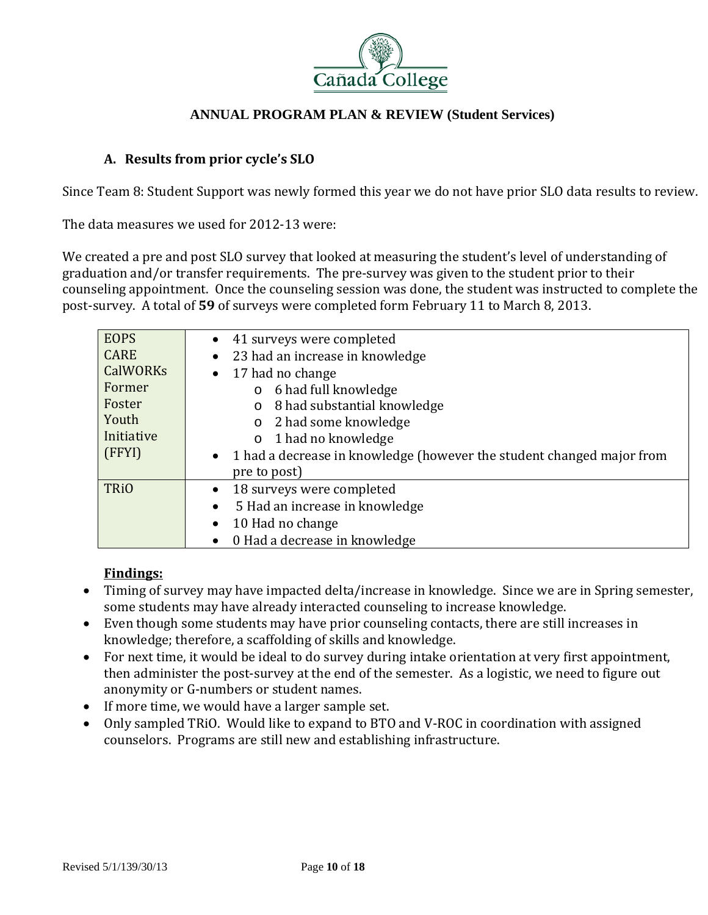

#### **A. Results from prior cycle's SLO**

Since Team 8: Student Support was newly formed this year we do not have prior SLO data results to review.

The data measures we used for 2012-13 were:

We created a pre and post SLO survey that looked at measuring the student's level of understanding of graduation and/or transfer requirements. The pre-survey was given to the student prior to their counseling appointment. Once the counseling session was done, the student was instructed to complete the post-survey. A total of 59 of surveys were completed form February 11 to March 8, 2013.

| <b>EOPS</b><br><b>CARE</b><br><b>CalWORKs</b><br>Former<br>Foster<br>Youth<br>Initiative<br>(FFYI) | • 41 surveys were completed<br>23 had an increase in knowledge<br>17 had no change<br>6 had full knowledge<br>$\circ$<br>8 had substantial knowledge<br>$\circ$<br>2 had some knowledge<br>$\circ$<br>$\circ$ 1 had no knowledge<br>• 1 had a decrease in knowledge (however the student changed major from |
|----------------------------------------------------------------------------------------------------|-------------------------------------------------------------------------------------------------------------------------------------------------------------------------------------------------------------------------------------------------------------------------------------------------------------|
| <b>TRiO</b>                                                                                        | pre to post)<br>18 surveys were completed<br>5 Had an increase in knowledge<br>$\bullet$<br>10 Had no change<br>0 Had a decrease in knowledge                                                                                                                                                               |

## **Findings:**

- Timing of survey may have impacted delta/increase in knowledge. Since we are in Spring semester, some students may have already interacted counseling to increase knowledge.
- Even though some students may have prior counseling contacts, there are still increases in knowledge; therefore, a scaffolding of skills and knowledge.
- For next time, it would be ideal to do survey during intake orientation at very first appointment, then administer the post-survey at the end of the semester. As a logistic, we need to figure out anonymity or G-numbers or student names.
- $\bullet$  If more time, we would have a larger sample set.
- Only sampled TRiO. Would like to expand to BTO and V-ROC in coordination with assigned counselors. Programs are still new and establishing infrastructure.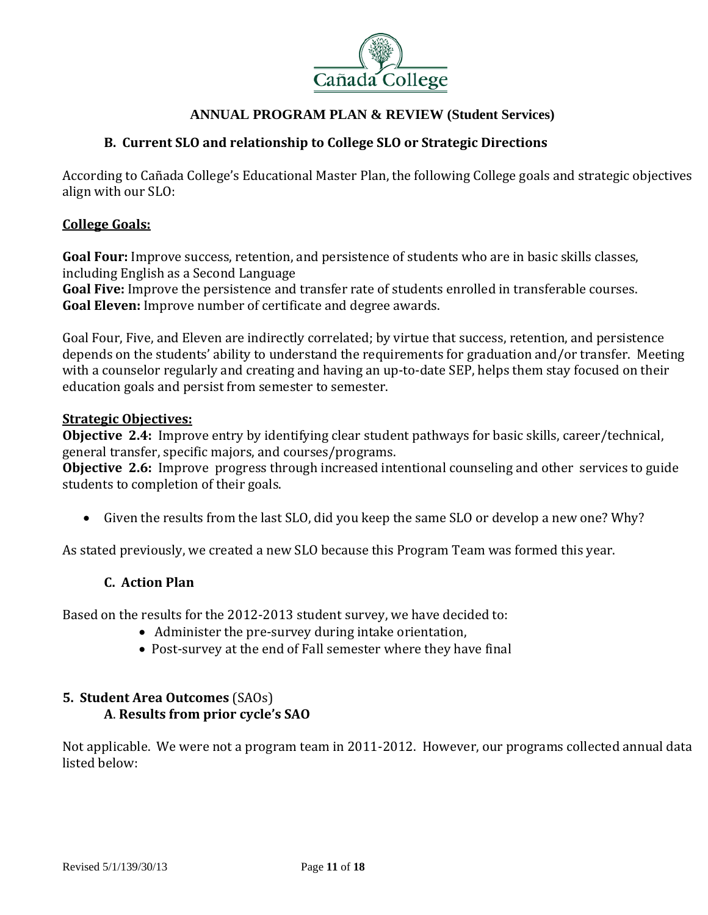

#### **B. Current SLO and relationship to College SLO or Strategic Directions**

According to Cañada College's Educational Master Plan, the following College goals and strategic objectives align with our SLO:

#### **College Goals:**

**Goal Four:** Improve success, retention, and persistence of students who are in basic skills classes, including English as a Second Language

**Goal Five:** Improve the persistence and transfer rate of students enrolled in transferable courses. **Goal Eleven:** Improve number of certificate and degree awards.

Goal Four, Five, and Eleven are indirectly correlated; by virtue that success, retention, and persistence depends on the students' ability to understand the requirements for graduation and/or transfer. Meeting with a counselor regularly and creating and having an up-to-date SEP, helps them stay focused on their education goals and persist from semester to semester.

#### **Strategic Objectives:**

**Objective 2.4:** Improve entry by identifying clear student pathways for basic skills, career/technical, general transfer, specific majors, and courses/programs.

**Objective 2.6:** Improve progress through increased intentional counseling and other services to guide students to completion of their goals.

• Given the results from the last SLO, did you keep the same SLO or develop a new one? Why?

As stated previously, we created a new SLO because this Program Team was formed this year.

#### **C. Action Plan**

Based on the results for the 2012-2013 student survey, we have decided to:

- Administer the pre-survey during intake orientation,
- Post-survey at the end of Fall semester where they have final

## **5. Student Area Outcomes** (SAOs) **A**. **Results from prior cycle's SAO**

Not applicable. We were not a program team in 2011-2012. However, our programs collected annual data listed below: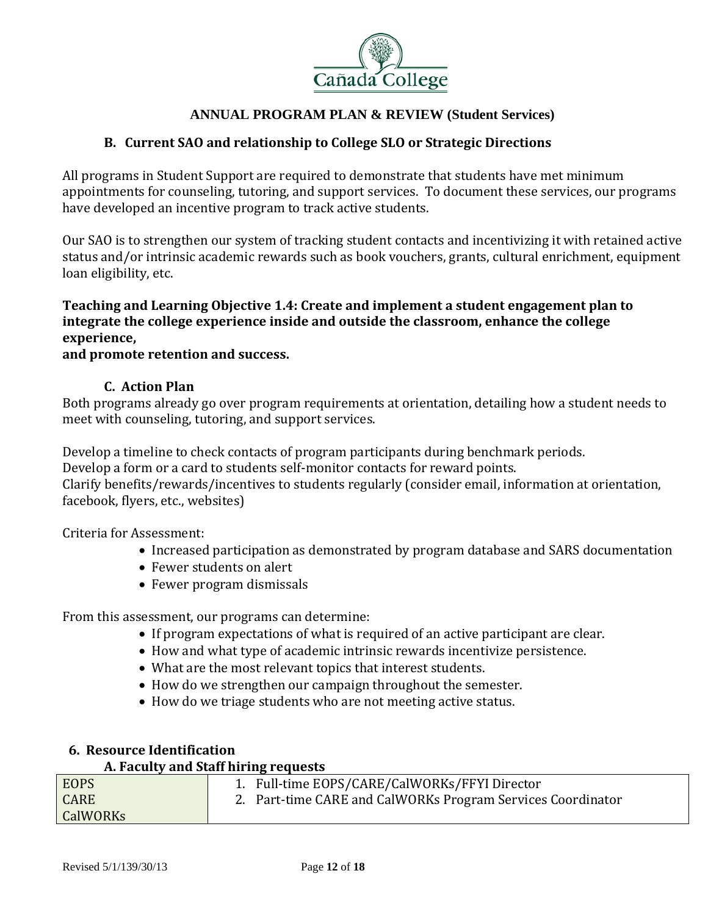

## **B. Current SAO and relationship to College SLO or Strategic Directions**

All programs in Student Support are required to demonstrate that students have met minimum appointments for counseling, tutoring, and support services. To document these services, our programs have developed an incentive program to track active students.

Our SAO is to strengthen our system of tracking student contacts and incentivizing it with retained active status and/or intrinsic academic rewards such as book vouchers, grants, cultural enrichment, equipment loan eligibility, etc.

## **Teaching and Learning Objective 1.4: Create and implement a student engagement plan to integrate the college experience inside and outside the classroom, enhance the college experience,**

#### **and promote retention and success.**

#### **C. Action Plan**

Both programs already go over program requirements at orientation, detailing how a student needs to meet with counseling, tutoring, and support services.

Develop a timeline to check contacts of program participants during benchmark periods.

Develop a form or a card to students self-monitor contacts for reward points.

Clarify benefits/rewards/incentives to students regularly (consider email, information at orientation, facebook, flyers, etc., websites)

Criteria for Assessment:

- Increased participation as demonstrated by program database and SARS documentation
- Fewer students on alert
- Fewer program dismissals

From this assessment, our programs can determine:

- If program expectations of what is required of an active participant are clear.
- How and what type of academic intrinsic rewards incentivize persistence.
- What are the most relevant topics that interest students.
- How do we strengthen our campaign throughout the semester.
- How do we triage students who are not meeting active status.

## **6. Resource Identification**

#### **A. Faculty and Staff hiring requests**

| <b>EOPS</b>     | 1. Full-time EOPS/CARE/CalWORKs/FFYI Director               |  |
|-----------------|-------------------------------------------------------------|--|
| <b>CARE</b>     | 2. Part-time CARE and CalWORKs Program Services Coordinator |  |
| <b>CalWORKs</b> |                                                             |  |
|                 |                                                             |  |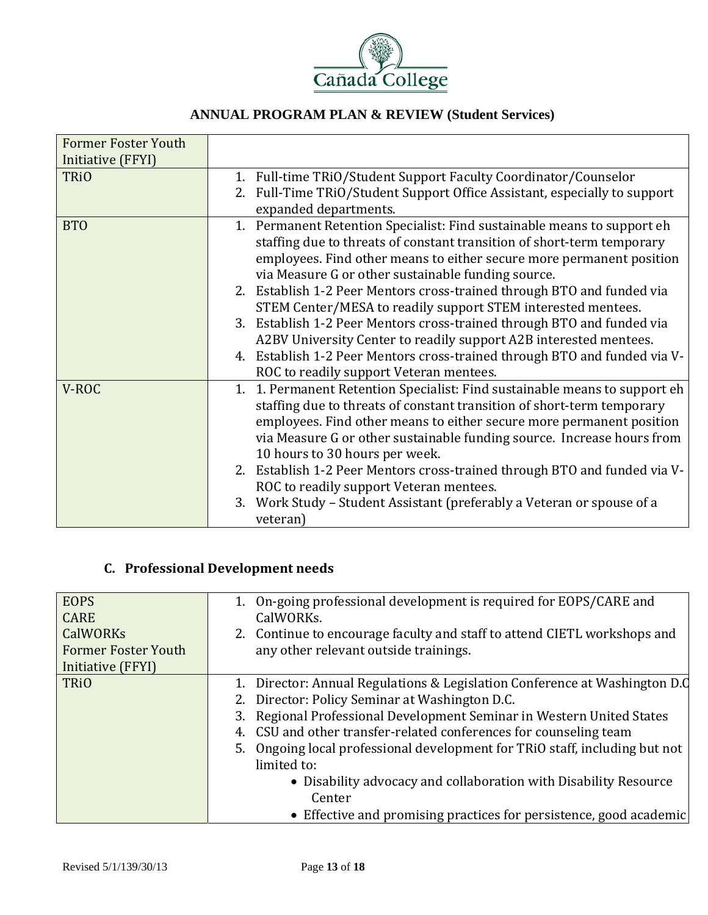

| <b>Former Foster Youth</b>       |                                                                                                                                                                                                                                                                                                                                                                                                                                                                                                                                                                                                                                                                                                  |
|----------------------------------|--------------------------------------------------------------------------------------------------------------------------------------------------------------------------------------------------------------------------------------------------------------------------------------------------------------------------------------------------------------------------------------------------------------------------------------------------------------------------------------------------------------------------------------------------------------------------------------------------------------------------------------------------------------------------------------------------|
| Initiative (FFYI)<br><b>TRiO</b> | 1. Full-time TRiO/Student Support Faculty Coordinator/Counselor<br>2. Full-Time TRiO/Student Support Office Assistant, especially to support<br>expanded departments.                                                                                                                                                                                                                                                                                                                                                                                                                                                                                                                            |
| <b>BTO</b>                       | 1. Permanent Retention Specialist: Find sustainable means to support eh<br>staffing due to threats of constant transition of short-term temporary<br>employees. Find other means to either secure more permanent position<br>via Measure G or other sustainable funding source.<br>2. Establish 1-2 Peer Mentors cross-trained through BTO and funded via<br>STEM Center/MESA to readily support STEM interested mentees.<br>3. Establish 1-2 Peer Mentors cross-trained through BTO and funded via<br>A2BV University Center to readily support A2B interested mentees.<br>4. Establish 1-2 Peer Mentors cross-trained through BTO and funded via V-<br>ROC to readily support Veteran mentees. |
| V-ROC                            | 1. 1. Permanent Retention Specialist: Find sustainable means to support eh<br>staffing due to threats of constant transition of short-term temporary<br>employees. Find other means to either secure more permanent position<br>via Measure G or other sustainable funding source. Increase hours from<br>10 hours to 30 hours per week.<br>2. Establish 1-2 Peer Mentors cross-trained through BTO and funded via V-<br>ROC to readily support Veteran mentees.<br>Work Study – Student Assistant (preferably a Veteran or spouse of a<br>3.<br>veteran)                                                                                                                                        |

# **C. Professional Development needs**

| <b>EOPS</b><br><b>CARE</b>                                         | 1. On-going professional development is required for EOPS/CARE and<br>CalWORKs.                                                                                                                                                                                                                                                                                                                                                                                                                                              |
|--------------------------------------------------------------------|------------------------------------------------------------------------------------------------------------------------------------------------------------------------------------------------------------------------------------------------------------------------------------------------------------------------------------------------------------------------------------------------------------------------------------------------------------------------------------------------------------------------------|
| <b>CalWORKs</b><br><b>Former Foster Youth</b><br>Initiative (FFYI) | 2. Continue to encourage faculty and staff to attend CIETL workshops and<br>any other relevant outside trainings.                                                                                                                                                                                                                                                                                                                                                                                                            |
| <b>TRiO</b>                                                        | 1. Director: Annual Regulations & Legislation Conference at Washington D.C<br>2. Director: Policy Seminar at Washington D.C.<br>3. Regional Professional Development Seminar in Western United States<br>4. CSU and other transfer-related conferences for counseling team<br>5. Ongoing local professional development for TRiO staff, including but not<br>limited to:<br>• Disability advocacy and collaboration with Disability Resource<br>Center<br>• Effective and promising practices for persistence, good academic |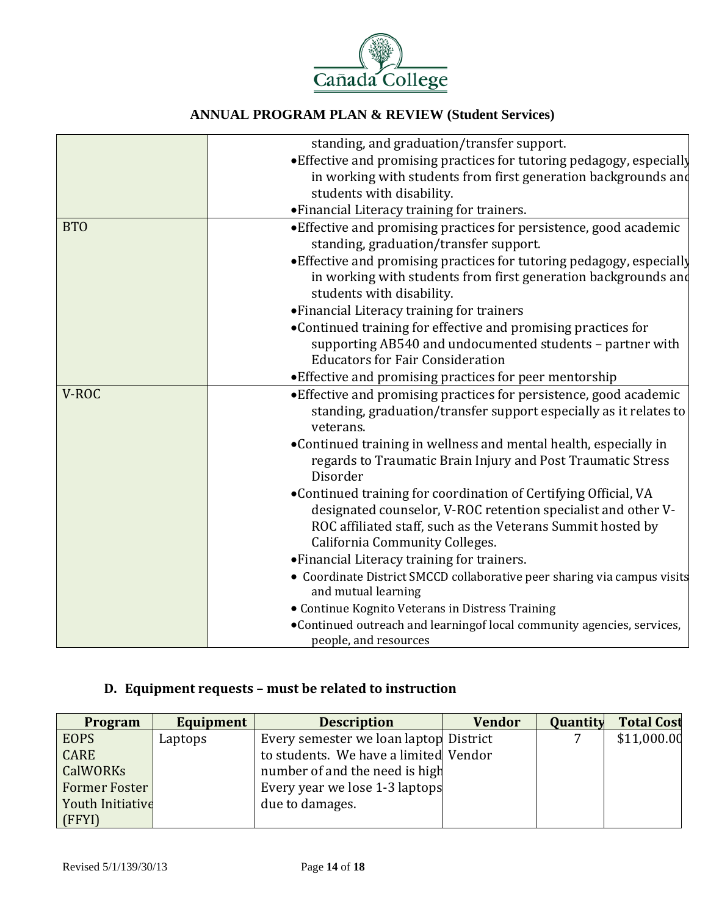

|            | standing, and graduation/transfer support.                                                                                                                                                                                               |
|------------|------------------------------------------------------------------------------------------------------------------------------------------------------------------------------------------------------------------------------------------|
|            | • Effective and promising practices for tutoring pedagogy, especially                                                                                                                                                                    |
|            | in working with students from first generation backgrounds and<br>students with disability.                                                                                                                                              |
|            | • Financial Literacy training for trainers.                                                                                                                                                                                              |
| <b>BTO</b> | • Effective and promising practices for persistence, good academic<br>standing, graduation/transfer support.                                                                                                                             |
|            | • Effective and promising practices for tutoring pedagogy, especially<br>in working with students from first generation backgrounds and<br>students with disability.                                                                     |
|            | • Financial Literacy training for trainers                                                                                                                                                                                               |
|            | •Continued training for effective and promising practices for<br>supporting AB540 and undocumented students - partner with<br><b>Educators for Fair Consideration</b>                                                                    |
|            | • Effective and promising practices for peer mentorship                                                                                                                                                                                  |
| V-ROC      | • Effective and promising practices for persistence, good academic<br>standing, graduation/transfer support especially as it relates to<br>veterans.                                                                                     |
|            | •Continued training in wellness and mental health, especially in<br>regards to Traumatic Brain Injury and Post Traumatic Stress<br>Disorder                                                                                              |
|            | •Continued training for coordination of Certifying Official, VA<br>designated counselor, V-ROC retention specialist and other V-<br>ROC affiliated staff, such as the Veterans Summit hosted by<br><b>California Community Colleges.</b> |
|            | • Financial Literacy training for trainers.                                                                                                                                                                                              |
|            | • Coordinate District SMCCD collaborative peer sharing via campus visits<br>and mutual learning                                                                                                                                          |
|            | • Continue Kognito Veterans in Distress Training                                                                                                                                                                                         |
|            | •Continued outreach and learningof local community agencies, services,<br>people, and resources                                                                                                                                          |

## **D. Equipment requests – must be related to instruction**

| <b>Program</b>          | <b>Equipment</b> | <b>Description</b>                     | <b>Vendor</b> | Quantity | <b>Total Cost</b> |
|-------------------------|------------------|----------------------------------------|---------------|----------|-------------------|
| <b>EOPS</b>             | Laptops          | Every semester we loan laptop District |               |          | \$11,000.00       |
| <b>CARE</b>             |                  | to students. We have a limited Vendor  |               |          |                   |
| CalWORKs                |                  | number of and the need is high         |               |          |                   |
| <b>Former Foster</b>    |                  | Every year we lose 1-3 laptops         |               |          |                   |
| <b>Youth Initiative</b> |                  | due to damages.                        |               |          |                   |
| (FFYI)                  |                  |                                        |               |          |                   |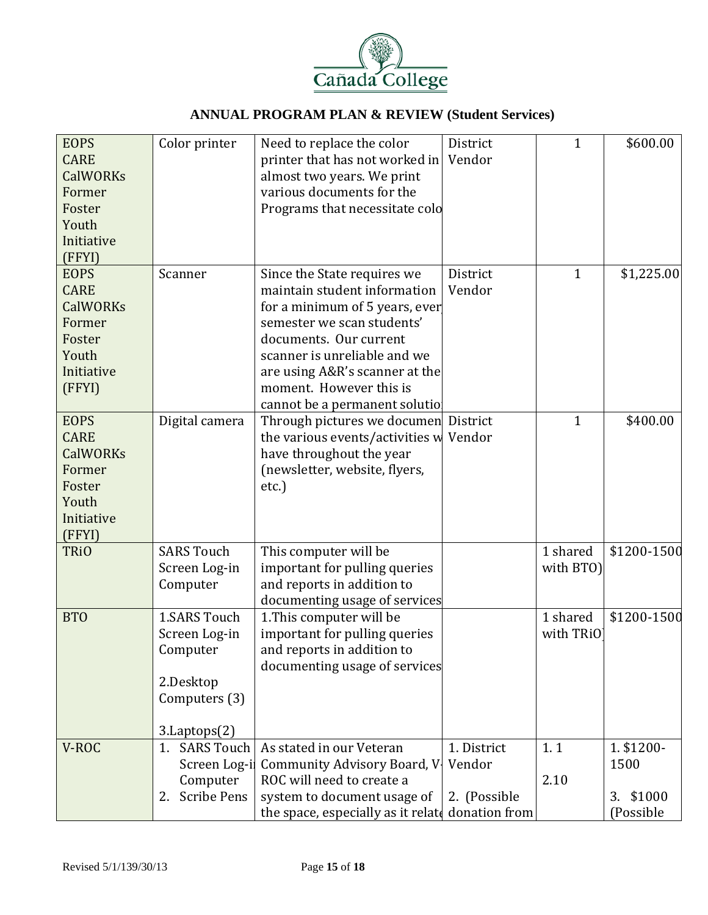

| <b>EOPS</b>     | Color printer            | Need to replace the color                                   | District      | $\mathbf 1$  | \$600.00     |
|-----------------|--------------------------|-------------------------------------------------------------|---------------|--------------|--------------|
| <b>CARE</b>     |                          | printer that has not worked in                              | Vendor        |              |              |
| <b>CalWORKs</b> |                          | almost two years. We print                                  |               |              |              |
| Former          |                          | various documents for the                                   |               |              |              |
| Foster          |                          | Programs that necessitate colo                              |               |              |              |
| Youth           |                          |                                                             |               |              |              |
| Initiative      |                          |                                                             |               |              |              |
| (FFYI)          |                          |                                                             |               |              |              |
| <b>EOPS</b>     | Scanner                  | Since the State requires we                                 | District      | $\mathbf{1}$ | \$1,225.00   |
| <b>CARE</b>     |                          | maintain student information                                | Vendor        |              |              |
| <b>CalWORKs</b> |                          | for a minimum of 5 years, ever                              |               |              |              |
| Former          |                          | semester we scan students'                                  |               |              |              |
| Foster          |                          | documents. Our current                                      |               |              |              |
| Youth           |                          | scanner is unreliable and we                                |               |              |              |
| Initiative      |                          | are using A&R's scanner at the                              |               |              |              |
| (FFYI)          |                          | moment. However this is                                     |               |              |              |
|                 |                          | cannot be a permanent solutio                               |               |              |              |
| <b>EOPS</b>     | Digital camera           | Through pictures we documen District                        |               | $\mathbf{1}$ | \$400.00     |
| <b>CARE</b>     |                          | the various events/activities w Vendor                      |               |              |              |
| <b>CalWORKs</b> |                          | have throughout the year                                    |               |              |              |
| Former          |                          | (newsletter, website, flyers,                               |               |              |              |
| Foster          |                          | etc.)                                                       |               |              |              |
| Youth           |                          |                                                             |               |              |              |
| Initiative      |                          |                                                             |               |              |              |
| (FFYI)          |                          |                                                             |               |              |              |
| <b>TRiO</b>     | <b>SARS Touch</b>        | This computer will be                                       |               | 1 shared     | \$1200-1500  |
|                 | Screen Log-in            | important for pulling queries                               |               | with BTO)    |              |
|                 | Computer                 | and reports in addition to                                  |               |              |              |
| <b>BTO</b>      | <b>1.SARS Touch</b>      | documenting usage of services                               |               | 1 shared     | \$1200-1500  |
|                 | Screen Log-in            | 1. This computer will be                                    |               | with TRiO    |              |
|                 | Computer                 | important for pulling queries<br>and reports in addition to |               |              |              |
|                 |                          | documenting usage of services                               |               |              |              |
|                 | 2.Desktop                |                                                             |               |              |              |
|                 | Computers (3)            |                                                             |               |              |              |
|                 |                          |                                                             |               |              |              |
|                 | 3.Laptops(2)             |                                                             |               |              |              |
| V-ROC           | 1. SARS Touch            | As stated in our Veteran                                    | 1. District   | 1.1          | 1. \$1200-   |
|                 | Screen Log-i             | Community Advisory Board, V                                 | Vendor        |              | 1500         |
|                 | Computer                 | ROC will need to create a                                   |               | 2.10         |              |
|                 | <b>Scribe Pens</b><br>2. | system to document usage of                                 | 2. (Possible  |              | \$1000<br>3. |
|                 |                          | the space, especially as it relate                          | donation from |              | (Possible    |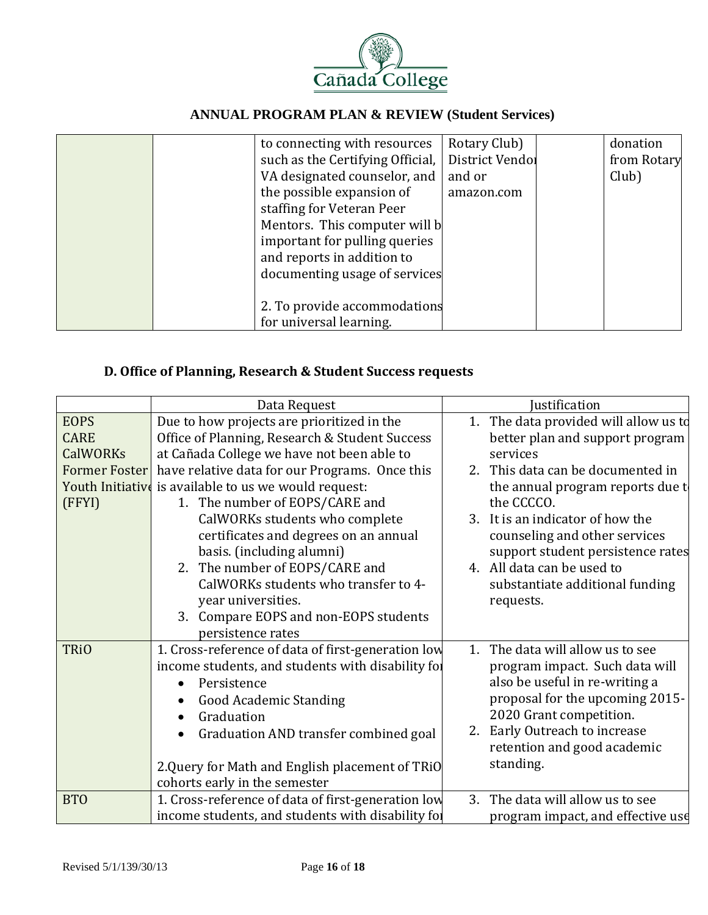

|  | to connecting with resources     | Rotary Club)    | donation    |
|--|----------------------------------|-----------------|-------------|
|  | such as the Certifying Official, | District Vendol | from Rotary |
|  | VA designated counselor, and     | and or          | Club)       |
|  | the possible expansion of        | amazon.com      |             |
|  | staffing for Veteran Peer        |                 |             |
|  | Mentors. This computer will b    |                 |             |
|  | important for pulling queries    |                 |             |
|  | and reports in addition to       |                 |             |
|  | documenting usage of services    |                 |             |
|  |                                  |                 |             |
|  | 2. To provide accommodations     |                 |             |
|  | for universal learning.          |                 |             |

## **D. Office of Planning, Research & Student Success requests**

|                      | Data Request                                          | Justification                            |  |  |
|----------------------|-------------------------------------------------------|------------------------------------------|--|--|
| <b>EOPS</b>          | Due to how projects are prioritized in the            | The data provided will allow us to<br>1. |  |  |
| <b>CARE</b>          | Office of Planning, Research & Student Success        | better plan and support program          |  |  |
| <b>CalWORKs</b>      | at Cañada College we have not been able to            | services                                 |  |  |
| <b>Former Foster</b> | have relative data for our Programs. Once this        | 2. This data can be documented in        |  |  |
|                      | Youth Initiative is available to us we would request: | the annual program reports due t         |  |  |
| (FFYI)               | 1. The number of EOPS/CARE and                        | the CCCCO.                               |  |  |
|                      | CalWORKs students who complete                        | 3. It is an indicator of how the         |  |  |
|                      | certificates and degrees on an annual                 | counseling and other services            |  |  |
|                      | basis. (including alumni)                             | support student persistence rates        |  |  |
|                      | 2. The number of EOPS/CARE and                        | 4. All data can be used to               |  |  |
|                      | CalWORKs students who transfer to 4-                  | substantiate additional funding          |  |  |
|                      | year universities.                                    | requests.                                |  |  |
|                      | 3. Compare EOPS and non-EOPS students                 |                                          |  |  |
|                      | persistence rates                                     |                                          |  |  |
| <b>TRiO</b>          | 1. Cross-reference of data of first-generation low    | 1. The data will allow us to see         |  |  |
|                      | income students, and students with disability for     | program impact. Such data will           |  |  |
|                      | Persistence<br>$\bullet$                              | also be useful in re-writing a           |  |  |
|                      | <b>Good Academic Standing</b>                         | proposal for the upcoming 2015-          |  |  |
|                      | Graduation                                            | 2020 Grant competition.                  |  |  |
|                      | Graduation AND transfer combined goal                 | Early Outreach to increase<br>2.         |  |  |
|                      |                                                       | retention and good academic              |  |  |
|                      | 2. Query for Math and English placement of TRiO       | standing.                                |  |  |
|                      | cohorts early in the semester                         |                                          |  |  |
| <b>BTO</b>           | 1. Cross-reference of data of first-generation low    | The data will allow us to see<br>3.      |  |  |
|                      | income students, and students with disability for     | program impact, and effective use        |  |  |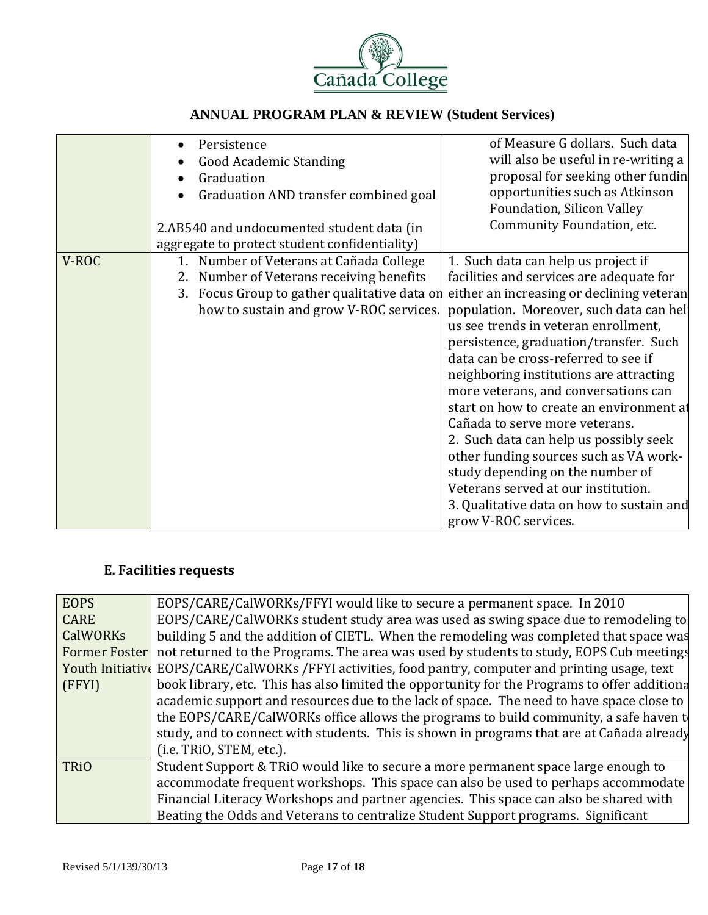

|       | Persistence<br>$\bullet$                        | of Measure G dollars. Such data           |
|-------|-------------------------------------------------|-------------------------------------------|
|       | <b>Good Academic Standing</b>                   | will also be useful in re-writing a       |
|       | Graduation                                      | proposal for seeking other fundin         |
|       | Graduation AND transfer combined goal           | opportunities such as Atkinson            |
|       |                                                 | Foundation, Silicon Valley                |
|       | 2.AB540 and undocumented student data (in       | Community Foundation, etc.                |
|       | aggregate to protect student confidentiality)   |                                           |
| V-ROC | Number of Veterans at Cañada College<br>1.      | 1. Such data can help us project if       |
|       | 2. Number of Veterans receiving benefits        | facilities and services are adequate for  |
|       | Focus Group to gather qualitative data on<br>3. | either an increasing or declining veteran |
|       | how to sustain and grow V-ROC services.         | population. Moreover, such data can hel-  |
|       |                                                 | us see trends in veteran enrollment,      |
|       |                                                 | persistence, graduation/transfer. Such    |
|       |                                                 | data can be cross-referred to see if      |
|       |                                                 | neighboring institutions are attracting   |
|       |                                                 | more veterans, and conversations can      |
|       |                                                 | start on how to create an environment at  |
|       |                                                 | Cañada to serve more veterans.            |
|       |                                                 | 2. Such data can help us possibly seek    |
|       |                                                 | other funding sources such as VA work-    |
|       |                                                 | study depending on the number of          |
|       |                                                 | Veterans served at our institution.       |
|       |                                                 | 3. Qualitative data on how to sustain and |
|       |                                                 | grow V-ROC services.                      |

## **E. Facilities requests**

| <b>EOPS</b>     | EOPS/CARE/CalWORKs/FFYI would like to secure a permanent space. In 2010                              |
|-----------------|------------------------------------------------------------------------------------------------------|
| <b>CARE</b>     | EOPS/CARE/CalWORKs student study area was used as swing space due to remodeling to                   |
| <b>CalWORKs</b> | building 5 and the addition of CIETL. When the remodeling was completed that space was               |
| Former Foster   | not returned to the Programs. The area was used by students to study, EOPS Cub meetings              |
|                 | Youth Initiative EOPS/CARE/CalWORKs /FFYI activities, food pantry, computer and printing usage, text |
| (FFYI)          | book library, etc. This has also limited the opportunity for the Programs to offer additiona         |
|                 | academic support and resources due to the lack of space. The need to have space close to             |
|                 | the EOPS/CARE/CalWORKs office allows the programs to build community, a safe haven to                |
|                 | study, and to connect with students. This is shown in programs that are at Cañada already            |
|                 | (i.e. TRiO, STEM, etc.).                                                                             |
| <b>TRiO</b>     | Student Support & TRiO would like to secure a more permanent space large enough to                   |
|                 | accommodate frequent workshops. This space can also be used to perhaps accommodate                   |
|                 | Financial Literacy Workshops and partner agencies. This space can also be shared with                |
|                 | Beating the Odds and Veterans to centralize Student Support programs. Significant                    |